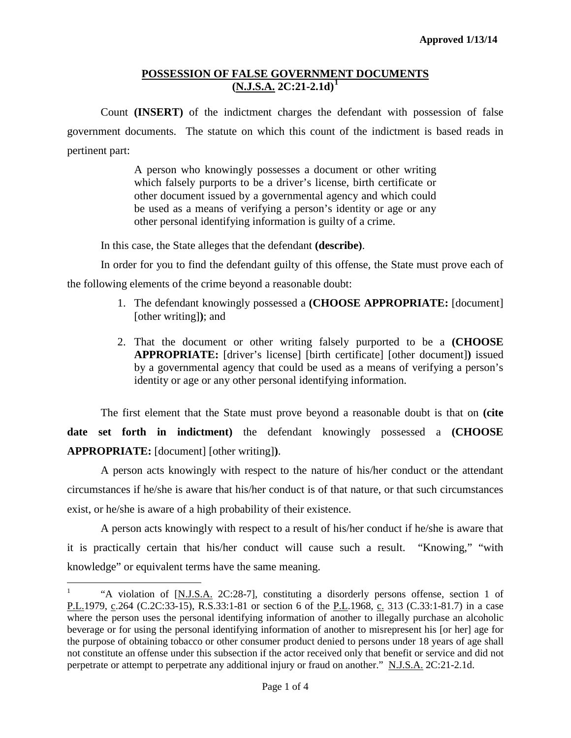## **POSSESSION OF FALSE GOVERNMENT DOCUMENTS (N.J.S.A. 2C:21-2.1d)[1](#page-1-0)**

Count **(INSERT)** of the indictment charges the defendant with possession of false government documents. The statute on which this count of the indictment is based reads in pertinent part:

> A person who knowingly possesses a document or other writing which falsely purports to be a driver's license, birth certificate or other document issued by a governmental agency and which could be used as a means of verifying a person's identity or age or any other personal identifying information is guilty of a crime.

In this case, the State alleges that the defendant **(describe)**.

In order for you to find the defendant guilty of this offense, the State must prove each of the following elements of the crime beyond a reasonable doubt:

- 1. The defendant knowingly possessed a **(CHOOSE APPROPRIATE:** [document] [other writing]**)**; and
- 2. That the document or other writing falsely purported to be a **(CHOOSE APPROPRIATE:** [driver's license] [birth certificate] [other document]**)** issued by a governmental agency that could be used as a means of verifying a person's identity or age or any other personal identifying information.

The first element that the State must prove beyond a reasonable doubt is that on **(cite date set forth in indictment)** the defendant knowingly possessed a **(CHOOSE APPROPRIATE:** [document] [other writing]**)**.

A person acts knowingly with respect to the nature of his/her conduct or the attendant circumstances if he/she is aware that his/her conduct is of that nature, or that such circumstances exist, or he/she is aware of a high probability of their existence.

A person acts knowingly with respect to a result of his/her conduct if he/she is aware that it is practically certain that his/her conduct will cause such a result. "Knowing," "with knowledge" or equivalent terms have the same meaning.

<span id="page-0-0"></span> <sup>1</sup> "A violation of [N.J.S.A. 2C:28-7], constituting a disorderly persons offense, section 1 of P.L.1979, c.264 (C.2C:33-15), R.S.33:1-81 or section 6 of the P.L.1968, c. 313 (C.33:1-81.7) in a case where the person uses the personal identifying information of another to illegally purchase an alcoholic beverage or for using the personal identifying information of another to misrepresent his [or her] age for the purpose of obtaining tobacco or other consumer product denied to persons under 18 years of age shall not constitute an offense under this subsection if the actor received only that benefit or service and did not perpetrate or attempt to perpetrate any additional injury or fraud on another." N.J.S.A. 2C:21-2.1d.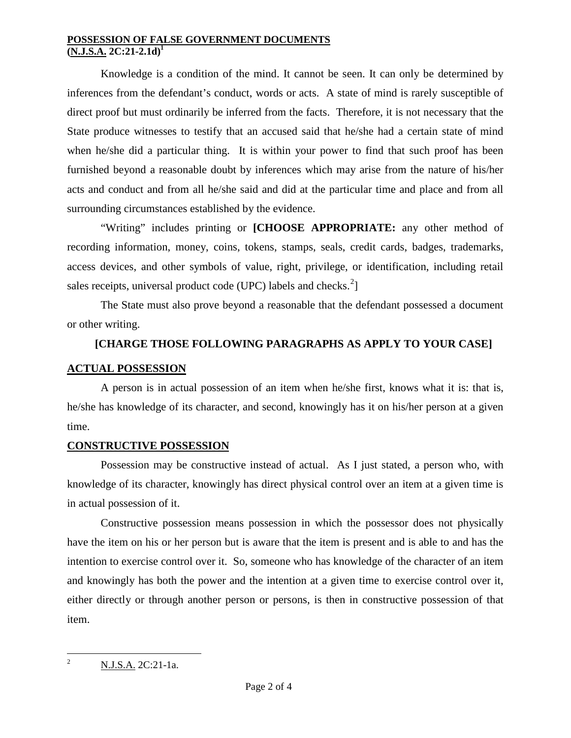#### **POSSESSION OF FALSE GOVERNMENT DOCUMENTS**  $(\overline{N. J.S.A. 2C:21-2.1d})^{1}$

Knowledge is a condition of the mind. It cannot be seen. It can only be determined by inferences from the defendant's conduct, words or acts. A state of mind is rarely susceptible of direct proof but must ordinarily be inferred from the facts. Therefore, it is not necessary that the State produce witnesses to testify that an accused said that he/she had a certain state of mind when he/she did a particular thing. It is within your power to find that such proof has been furnished beyond a reasonable doubt by inferences which may arise from the nature of his/her acts and conduct and from all he/she said and did at the particular time and place and from all surrounding circumstances established by the evidence.

"Writing" includes printing or **[CHOOSE APPROPRIATE:** any other method of recording information, money, coins, tokens, stamps, seals, credit cards, badges, trademarks, access devices, and other symbols of value, right, privilege, or identification, including retail sales receipts, universal product code (UPC) labels and checks. $^{2}$  $^{2}$  $^{2}$ ]

The State must also prove beyond a reasonable that the defendant possessed a document or other writing.

# **[CHARGE THOSE FOLLOWING PARAGRAPHS AS APPLY TO YOUR CASE]**

# **ACTUAL POSSESSION**

A person is in actual possession of an item when he/she first, knows what it is: that is, he/she has knowledge of its character, and second, knowingly has it on his/her person at a given time.

# **CONSTRUCTIVE POSSESSION**

Possession may be constructive instead of actual. As I just stated, a person who, with knowledge of its character, knowingly has direct physical control over an item at a given time is in actual possession of it.

<span id="page-1-1"></span>Constructive possession means possession in which the possessor does not physically have the item on his or her person but is aware that the item is present and is able to and has the intention to exercise control over it. So, someone who has knowledge of the character of an item and knowingly has both the power and the intention at a given time to exercise control over it, either directly or through another person or persons, is then in constructive possession of that item.

<span id="page-1-0"></span><sup>&</sup>lt;sup>2</sup> N.J.S.A. 2C:21-1a.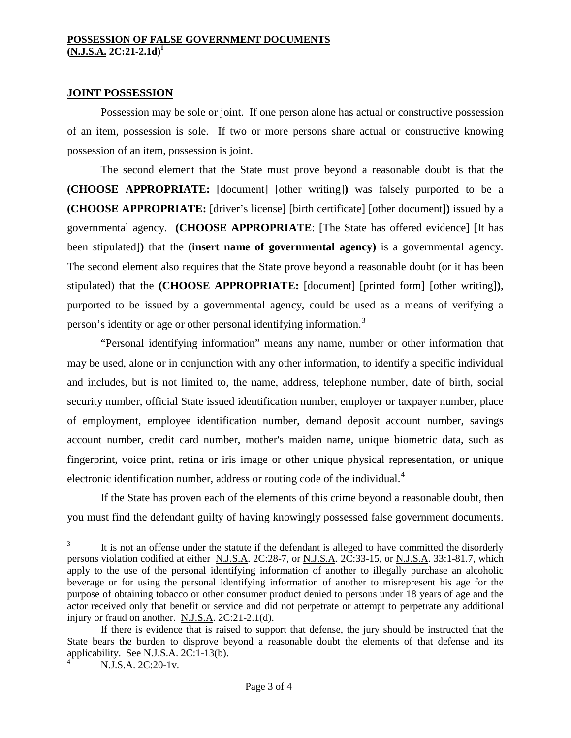# **JOINT POSSESSION**

Possession may be sole or joint. If one person alone has actual or constructive possession of an item, possession is sole. If two or more persons share actual or constructive knowing possession of an item, possession is joint.

The second element that the State must prove beyond a reasonable doubt is that the **(CHOOSE APPROPRIATE:** [document] [other writing]**)** was falsely purported to be a **(CHOOSE APPROPRIATE:** [driver's license] [birth certificate] [other document]**)** issued by a governmental agency. **(CHOOSE APPROPRIATE**: [The State has offered evidence] [It has been stipulated]**)** that the **(insert name of governmental agency)** is a governmental agency. The second element also requires that the State prove beyond a reasonable doubt (or it has been stipulated) that the **(CHOOSE APPROPRIATE:** [document] [printed form] [other writing]**)**, purported to be issued by a governmental agency, could be used as a means of verifying a person's identity or age or other personal identifying information.[3](#page-1-1)

"Personal identifying information" means any name, number or other information that may be used, alone or in conjunction with any other information, to identify a specific individual and includes, but is not limited to, the name, address, telephone number, date of birth, social security number, official State issued identification number, employer or taxpayer number, place of employment, employee identification number, demand deposit account number, savings account number, credit card number, mother's maiden name, unique biometric data, such as fingerprint, voice print, retina or iris image or other unique physical representation, or unique electronic identification number, address or routing code of the individual.<sup>[4](#page-2-0)</sup>

If the State has proven each of the elements of this crime beyond a reasonable doubt, then you must find the defendant guilty of having knowingly possessed false government documents.

```
4 N.J.S.A. 2C:20-1v.
```
It is not an offense under the statute if the defendant is alleged to have committed the disorderly persons violation codified at either N.J.S.A. 2C:28-7, or N.J.S.A. 2C:33-15, or N.J.S.A. 33:1-81.7, which apply to the use of the personal identifying information of another to illegally purchase an alcoholic beverage or for using the personal identifying information of another to misrepresent his age for the purpose of obtaining tobacco or other consumer product denied to persons under 18 years of age and the actor received only that benefit or service and did not perpetrate or attempt to perpetrate any additional injury or fraud on another. N.J.S.A. 2C:21-2.1(d).

If there is evidence that is raised to support that defense, the jury should be instructed that the State bears the burden to disprove beyond a reasonable doubt the elements of that defense and its applicability. See N.J.S.A. 2C:1-13(b).